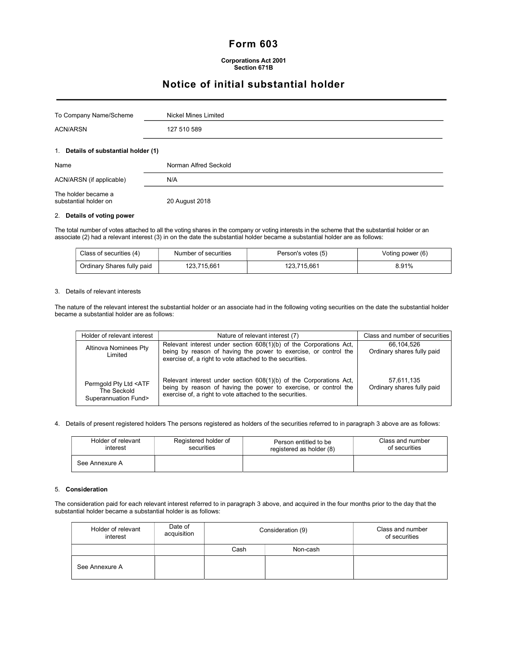# Form 603

# Notice of initial substantial holder

| To Company Name/Scheme               | Nickel Mines Limited  |  |
|--------------------------------------|-----------------------|--|
| <b>ACN/ARSN</b>                      | 127 510 589           |  |
| 1. Details of substantial holder (1) |                       |  |
|                                      |                       |  |
| Name                                 | Norman Alfred Seckold |  |
| ACN/ARSN (if applicable)             | N/A                   |  |

## 2. Details of voting power

The total number of votes attached to all the voting shares in the company or voting interests in the scheme that the substantial holder or an associate (2) had a relevant interest (3) in on the date the substantial holder became a substantial holder are as follows:

| Class of securities (4)    | Number of securities | Person's votes (5) | Voting power (6) |  |
|----------------------------|----------------------|--------------------|------------------|--|
| Ordinary Shares fully paid | 123.715.661          | 123.715.661        | 8.91%            |  |

### 3. Details of relevant interests

The nature of the relevant interest the substantial holder or an associate had in the following voting securities on the date the substantial holder became a substantial holder are as follows:

| Holder of relevant interest                                               | Nature of relevant interest (7)                                                                                                                                                                   | Class and number of securities           |
|---------------------------------------------------------------------------|---------------------------------------------------------------------------------------------------------------------------------------------------------------------------------------------------|------------------------------------------|
| Altinova Nominees Pty<br>Limited                                          | Relevant interest under section 608(1)(b) of the Corporations Act,<br>being by reason of having the power to exercise, or control the<br>exercise of, a right to vote attached to the securities. | 66.104.526<br>Ordinary shares fully paid |
| Permgold Pty Ltd <atf<br>The Seckold<br/>Superannuation Fund&gt;</atf<br> | Relevant interest under section 608(1)(b) of the Corporations Act,<br>being by reason of having the power to exercise, or control the<br>exercise of, a right to vote attached to the securities. | 57,611,135<br>Ordinary shares fully paid |

4. Details of present registered holders The persons registered as holders of the securities referred to in paragraph 3 above are as follows:

| Registered holder of<br>Holder of relevant<br>interest<br>securities |  | Person entitled to be<br>registered as holder (8) | Class and number<br>of securities |
|----------------------------------------------------------------------|--|---------------------------------------------------|-----------------------------------|
| See Annexure A                                                       |  |                                                   |                                   |

## 5. Consideration

The consideration paid for each relevant interest referred to in paragraph 3 above, and acquired in the four months prior to the day that the substantial holder became a substantial holder is as follows:

| Holder of relevant<br>interest | Date of<br>acquisition | Consideration (9) |          | Class and number<br>of securities |
|--------------------------------|------------------------|-------------------|----------|-----------------------------------|
|                                |                        | Cash              | Non-cash |                                   |
| See Annexure A                 |                        |                   |          |                                   |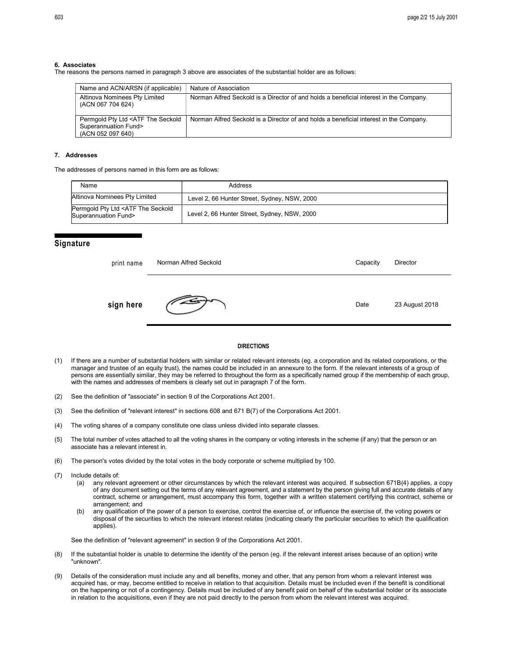#### 6. Associates

The reasons the persons named in paragraph 3 above are associates of the substantial holder are as follows:

| Name and ACN/ARSN (if applicable)                                                              | Nature of Association                                                                  |
|------------------------------------------------------------------------------------------------|----------------------------------------------------------------------------------------|
| Altinova Nominees Pty Limited<br>(ACN 067 704 624)                                             | Norman Alfred Seckold is a Director of and holds a beneficial interest in the Company. |
| Permgold Pty Ltd <atf seckold<br="" the="">Superannuation Fund&gt;<br/>(ACN 052 097 640)</atf> | Norman Alfred Seckold is a Director of and holds a beneficial interest in the Company. |

#### 7. Addresses

The addresses of persons named in this form are as follows:

| Name                                                                     | Address                                      |
|--------------------------------------------------------------------------|----------------------------------------------|
| Altinova Nominees Pty Limited                                            | Level 2, 66 Hunter Street, Sydney, NSW, 2000 |
| Permgold Pty Ltd <atf seckold<br="" the="">Superannuation Fund&gt;</atf> | Level 2, 66 Hunter Street, Sydney, NSW, 2000 |

# **Signature**

| print name | Norman Alfred Seckold | Capacity | Director       |
|------------|-----------------------|----------|----------------|
| sign here  |                       | Date     | 23 August 2018 |

#### DIRECTIONS

- (1) If there are a number of substantial holders with similar or related relevant interests (eg. a corporation and its related corporations, or the manager and trustee of an equity trust), the names could be included in an annexure to the form. If the relevant interests of a group of persons are essentially similar, they may be referred to throughout the form as a specifically named group if the membership of each group, with the names and addresses of members is clearly set out in paragraph 7 of the form.
- (2) See the definition of "associate" in section 9 of the Corporations Act 2001.
- (3) See the definition of "relevant interest" in sections 608 and 671 B(7) of the Corporations Act 2001.
- (4) The voting shares of a company constitute one class unless divided into separate classes.
- (5) The total number of votes attached to all the voting shares in the company or voting interests in the scheme (if any) that the person or an associate has a relevant interest in.
- (6) The person's votes divided by the total votes in the body corporate or scheme multiplied by 100.
- (7) Include details of:
	- (a) any relevant agreement or other circumstances by which the relevant interest was acquired. If subsection 671B(4) applies, a copy of any document setting out the terms of any relevant agreement, and a statement by the person giving full and accurate details of any contract, scheme or arrangement, must accompany this form, together with a written statement certifying this contract, scheme or arrangement; and
	- (b) any qualification of the power of a person to exercise, control the exercise of, or influence the exercise of, the voting powers or disposal of the securities to which the relevant interest relates (indicating clearly the particular securities to which the qualification applies).

See the definition of "relevant agreement" in section 9 of the Corporations Act 2001.

- (8) If the substantial holder is unable to determine the identity of the person (eg. if the relevant interest arises because of an option) write "unknown".
- (9) Details of the consideration must include any and all benefits, money and other, that any person from whom a relevant interest was acquired has, or may, become entitled to receive in relation to that acquisition. Details must be included even if the benefit is conditional on the happening or not of a contingency. Details must be included of any benefit paid on behalf of the substantial holder or its associate in relation to the acquisitions, even if they are not paid directly to the person from whom the relevant interest was acquired.